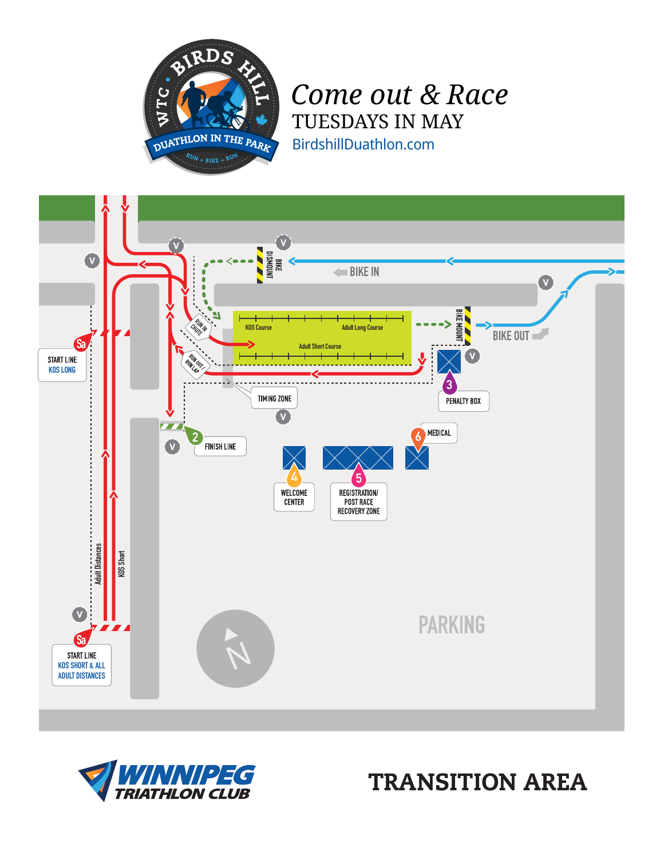

## *Come out & Race* TUESDAYS IN MAY

BirdshillDuathlon.com





TRANSITION AREA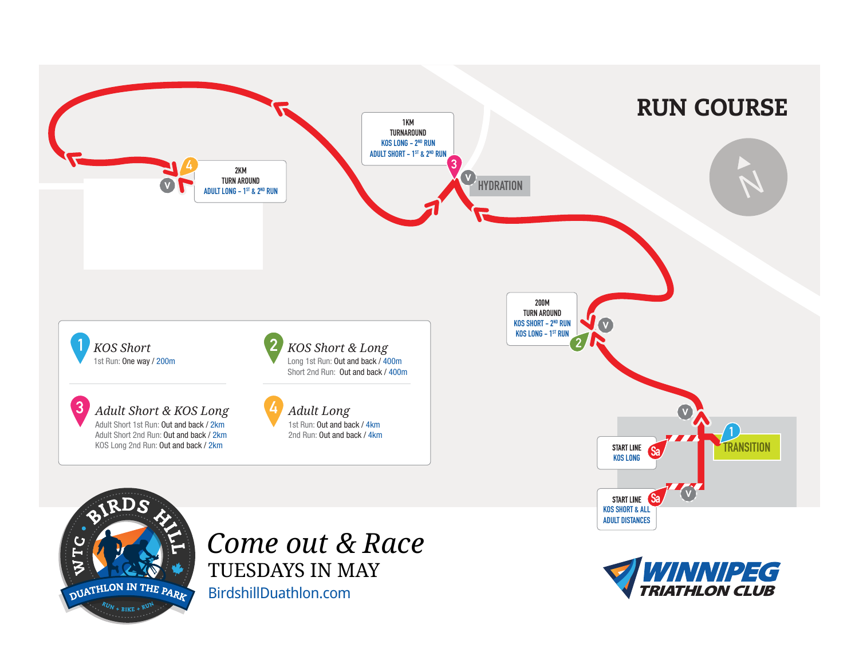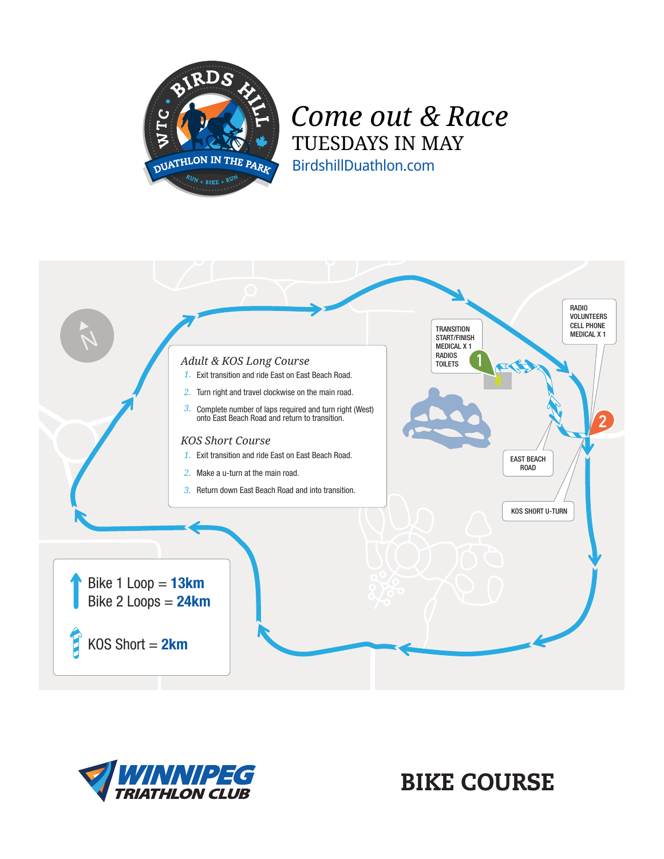

## *Come out & Race* TUESDAYS IN MAY BirdshillDuathlon.com





BIKE COURSE